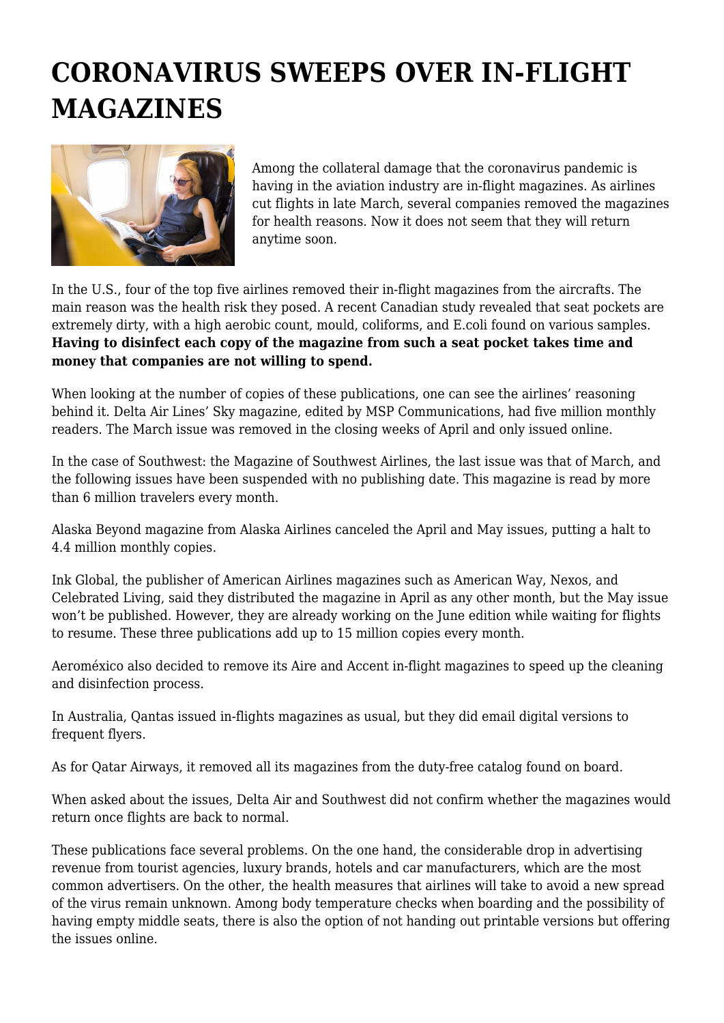## **CORONAVIRUS SWEEPS OVER IN-FLIGHT MAGAZINES**



Among the collateral damage that the coronavirus pandemic is having in the aviation industry are in-flight magazines. As airlines cut flights in late March, several companies removed the magazines for health reasons. Now it does not seem that they will return anytime soon.

In the U.S., four of the top five airlines removed their in-flight magazines from the aircrafts. The main reason was the health risk they posed. A recent Canadian study revealed that seat pockets are extremely dirty, with a high aerobic count, mould, coliforms, and E.coli found on various samples. **Having to disinfect each copy of the magazine from such a seat pocket takes time and money that companies are not willing to spend.**

When looking at the number of copies of these publications, one can see the airlines' reasoning behind it. Delta Air Lines' Sky magazine, edited by MSP Communications, had five million monthly readers. The March issue was removed in the closing weeks of April and only issued online.

In the case of Southwest: the Magazine of Southwest Airlines, the last issue was that of March, and the following issues have been suspended with no publishing date. This magazine is read by more than 6 million travelers every month.

Alaska Beyond magazine from Alaska Airlines canceled the April and May issues, putting a halt to 4.4 million monthly copies.

Ink Global, the publisher of American Airlines magazines such as American Way, Nexos, and Celebrated Living, said they distributed the magazine in April as any other month, but the May issue won't be published. However, they are already working on the June edition while waiting for flights to resume. These three publications add up to 15 million copies every month.

Aeroméxico also decided to remove its Aire and Accent in-flight magazines to speed up the cleaning and disinfection process.

In Australia, Qantas issued in-flights magazines as usual, but they did email digital versions to frequent flyers.

As for Qatar Airways, it removed all its magazines from the duty-free catalog found on board.

When asked about the issues, Delta Air and Southwest did not confirm whether the magazines would return once flights are back to normal.

These publications face several problems. On the one hand, the considerable drop in advertising revenue from tourist agencies, luxury brands, hotels and car manufacturers, which are the most common advertisers. On the other, the health measures that airlines will take to avoid a new spread of the virus remain unknown. Among body temperature checks when boarding and the possibility of having empty middle seats, there is also the option of not handing out printable versions but offering the issues online.